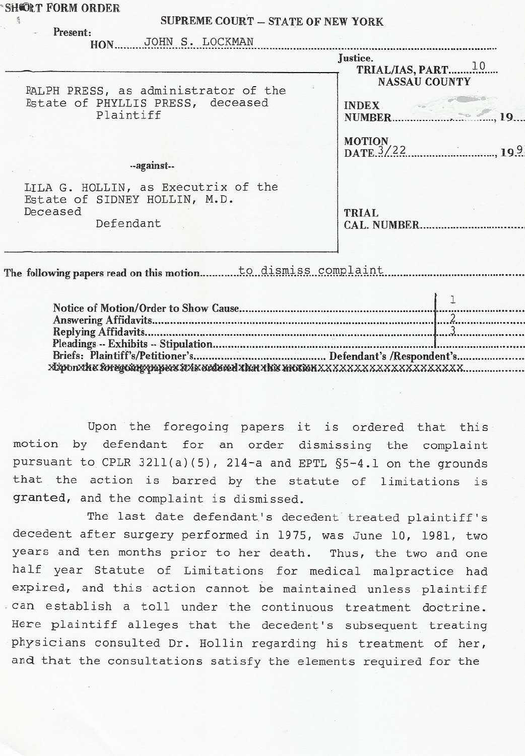**SHORT FORM ORDER** 

Present:

## **SUPREME COURT - STATE OF NEW YORK**

|    |  | JOHN S. LOCKMAN |  |
|----|--|-----------------|--|
| ٦N |  |                 |  |

| HON OUTLY D. DUCAPIAN                                                                         |                                                                                   |  |  |  |
|-----------------------------------------------------------------------------------------------|-----------------------------------------------------------------------------------|--|--|--|
| RALPH PRESS, as administrator of the<br>Estate of PHYLLIS PRESS, deceased<br>Plaintiff        | Justice.<br>TRIAL/IAS, PART <sup>10</sup><br><b>NASSAU COUNTY</b><br><b>INDEX</b> |  |  |  |
| --against--                                                                                   |                                                                                   |  |  |  |
| LILA G. HOLLIN, as Executrix of the<br>Estate of SIDNEY HOLLIN, M.D.<br>Deceased<br>Defendant | <b>TRIAL</b>                                                                      |  |  |  |
|                                                                                               |                                                                                   |  |  |  |
|                                                                                               |                                                                                   |  |  |  |
|                                                                                               |                                                                                   |  |  |  |
|                                                                                               |                                                                                   |  |  |  |
|                                                                                               |                                                                                   |  |  |  |
|                                                                                               |                                                                                   |  |  |  |
|                                                                                               |                                                                                   |  |  |  |
|                                                                                               |                                                                                   |  |  |  |

Upon the foregoing papers it is ordered that this motion by defendant for an order dismissing the complaint pursuant to CPLR 3211(a)(5), 214-a and EPTL §5-4.1 on the grounds that the action is barred by the statute of limitations is granted, and the complaint is dismissed.

The last date defendant's decedent treated plaintiff's decedent after surgery performed in 1975, was June 10, 1981, two years and ten months prior to her death. Thus, the two and one half year Statute of Limitations for medical malpractice had expired, and this action cannot be maintained unless plaintiff can establish a toll under the continuous treatment doctrine. Here plaintiff alleges that the decedent's subsequent treating physicians consulted Dr. Hollin regarding his treatment of her, and that the consultations satisfy the elements required for the